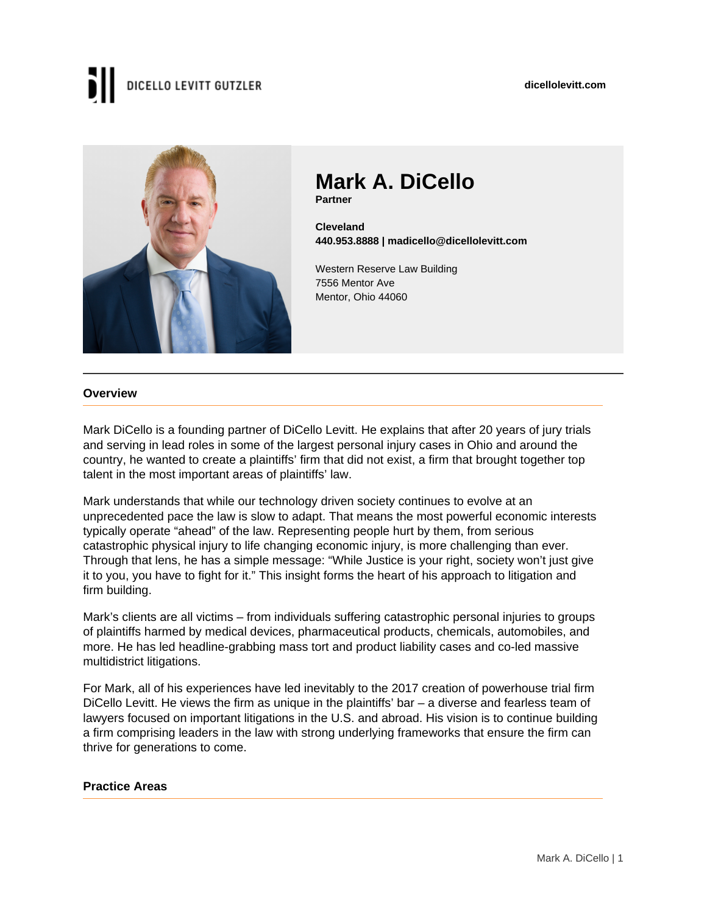# DICELLO LEVITT GUTZLER



### **Mark A. DiCello**

**Partner**

**Cleveland 440.953.8888 | madicello@dicellolevitt.com**

Western Reserve Law Building 7556 Mentor Ave Mentor, Ohio 44060

#### **Overview**

Mark DiCello is a founding partner of DiCello Levitt. He explains that after 20 years of jury trials and serving in lead roles in some of the largest personal injury cases in Ohio and around the country, he wanted to create a plaintiffs' firm that did not exist, a firm that brought together top talent in the most important areas of plaintiffs' law.

Mark understands that while our technology driven society continues to evolve at an unprecedented pace the law is slow to adapt. That means the most powerful economic interests typically operate "ahead" of the law. Representing people hurt by them, from serious catastrophic physical injury to life changing economic injury, is more challenging than ever. Through that lens, he has a simple message: "While Justice is your right, society won't just give it to you, you have to fight for it." This insight forms the heart of his approach to litigation and firm building.

Mark's clients are all victims – from individuals suffering catastrophic personal injuries to groups of plaintiffs harmed by medical devices, pharmaceutical products, chemicals, automobiles, and more. He has led headline-grabbing mass tort and product liability cases and co-led massive multidistrict litigations.

For Mark, all of his experiences have led inevitably to the 2017 creation of powerhouse trial firm DiCello Levitt. He views the firm as unique in the plaintiffs' bar – a diverse and fearless team of lawyers focused on important litigations in the U.S. and abroad. His vision is to continue building a firm comprising leaders in the law with strong underlying frameworks that ensure the firm can thrive for generations to come.

#### **Practice Areas**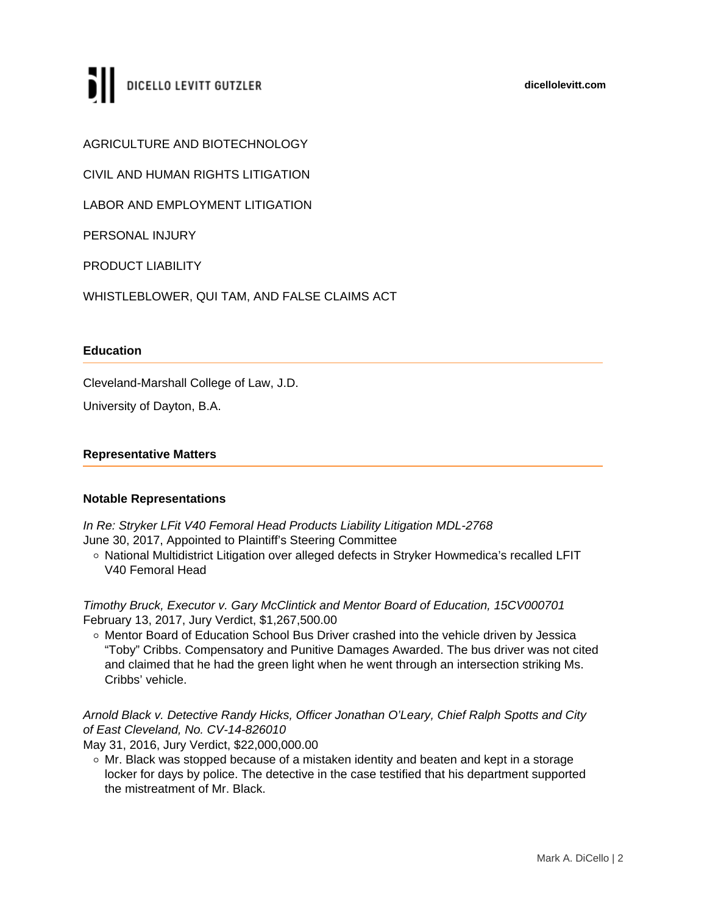### DICELLO LEVITT GUTZLER

AGRICULTURE AND BIOTECHNOLOGY

CIVIL AND HUMAN RIGHTS LITIGATION

LABOR AND EMPLOYMENT LITIGATION

PERSONAL INJURY

PRODUCT LIABILITY

WHISTLEBLOWER, QUI TAM, AND FALSE CLAIMS ACT

#### **Education**

Cleveland-Marshall College of Law, J.D.

University of Dayton, B.A.

#### **Representative Matters**

#### **Notable Representations**

In Re: Stryker LFit V40 Femoral Head Products Liability Litigation MDL-2768 June 30, 2017, Appointed to Plaintiff's Steering Committee

○ National Multidistrict Litigation over alleged defects in Stryker Howmedica's recalled LFIT V40 Femoral Head

Timothy Bruck, Executor v. Gary McClintick and Mentor Board of Education, 15CV000701 February 13, 2017, Jury Verdict, \$1,267,500.00

o Mentor Board of Education School Bus Driver crashed into the vehicle driven by Jessica "Toby" Cribbs. Compensatory and Punitive Damages Awarded. The bus driver was not cited and claimed that he had the green light when he went through an intersection striking Ms. Cribbs' vehicle.

Arnold Black v. Detective Randy Hicks, Officer Jonathan O'Leary, Chief Ralph Spotts and City of East Cleveland, No. CV-14-826010

May 31, 2016, Jury Verdict, \$22,000,000.00

 $\circ$  Mr. Black was stopped because of a mistaken identity and beaten and kept in a storage locker for days by police. The detective in the case testified that his department supported the mistreatment of Mr. Black.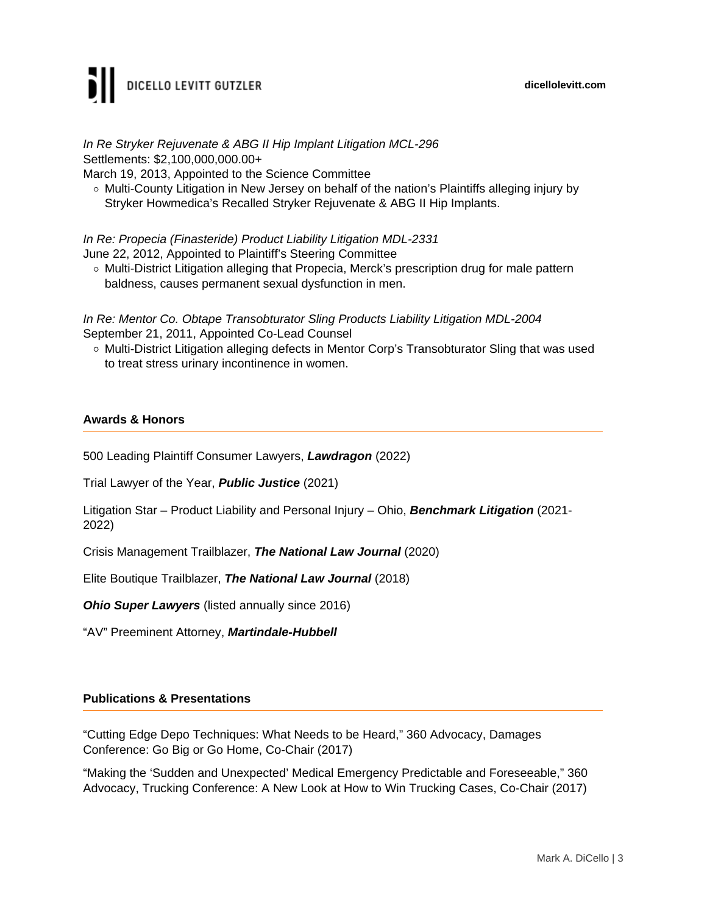### DICELLO LEVITT GUTZLER

In Re Stryker Rejuvenate & ABG II Hip Implant Litigation MCL-296 Settlements: \$2,100,000,000.00+

March 19, 2013, Appointed to the Science Committee

 $\circ$  Multi-County Litigation in New Jersey on behalf of the nation's Plaintiffs alleging injury by Stryker Howmedica's Recalled Stryker Rejuvenate & ABG II Hip Implants.

In Re: Propecia (Finasteride) Product Liability Litigation MDL-2331

June 22, 2012, Appointed to Plaintiff's Steering Committee

 $\circ$  Multi-District Litigation alleging that Propecia, Merck's prescription drug for male pattern baldness, causes permanent sexual dysfunction in men.

In Re: Mentor Co. Obtape Transobturator Sling Products Liability Litigation MDL-2004 September 21, 2011, Appointed Co-Lead Counsel

o Multi-District Litigation alleging defects in Mentor Corp's Transobturator Sling that was used to treat stress urinary incontinence in women.

#### **Awards & Honors**

500 Leading Plaintiff Consumer Lawyers, **Lawdragon** (2022)

Trial Lawyer of the Year, **Public Justice** (2021)

Litigation Star – Product Liability and Personal Injury – Ohio, **Benchmark Litigation** (2021- 2022)

Crisis Management Trailblazer, **The National Law Journal** (2020)

Elite Boutique Trailblazer, **The National Law Journal** (2018)

**Ohio Super Lawyers** (listed annually since 2016)

"AV" Preeminent Attorney, **Martindale-Hubbell**

#### **Publications & Presentations**

"Cutting Edge Depo Techniques: What Needs to be Heard," 360 Advocacy, Damages Conference: Go Big or Go Home, Co-Chair (2017)

"Making the 'Sudden and Unexpected' Medical Emergency Predictable and Foreseeable," 360 Advocacy, Trucking Conference: A New Look at How to Win Trucking Cases, Co-Chair (2017)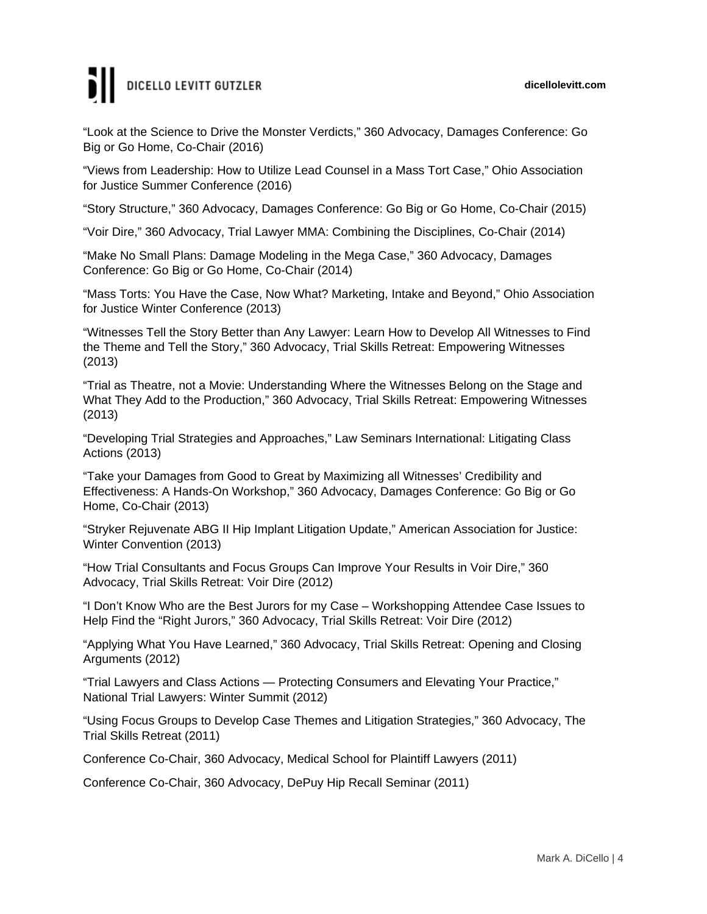# DICELLO LEVITT GUTZLER

"Look at the Science to Drive the Monster Verdicts," 360 Advocacy, Damages Conference: Go Big or Go Home, Co-Chair (2016)

"Views from Leadership: How to Utilize Lead Counsel in a Mass Tort Case," Ohio Association for Justice Summer Conference (2016)

"Story Structure," 360 Advocacy, Damages Conference: Go Big or Go Home, Co-Chair (2015)

"Voir Dire," 360 Advocacy, Trial Lawyer MMA: Combining the Disciplines, Co-Chair (2014)

"Make No Small Plans: Damage Modeling in the Mega Case," 360 Advocacy, Damages Conference: Go Big or Go Home, Co-Chair (2014)

"Mass Torts: You Have the Case, Now What? Marketing, Intake and Beyond," Ohio Association for Justice Winter Conference (2013)

"Witnesses Tell the Story Better than Any Lawyer: Learn How to Develop All Witnesses to Find the Theme and Tell the Story," 360 Advocacy, Trial Skills Retreat: Empowering Witnesses (2013)

"Trial as Theatre, not a Movie: Understanding Where the Witnesses Belong on the Stage and What They Add to the Production," 360 Advocacy, Trial Skills Retreat: Empowering Witnesses (2013)

"Developing Trial Strategies and Approaches," Law Seminars International: Litigating Class Actions (2013)

"Take your Damages from Good to Great by Maximizing all Witnesses' Credibility and Effectiveness: A Hands-On Workshop," 360 Advocacy, Damages Conference: Go Big or Go Home, Co-Chair (2013)

"Stryker Rejuvenate ABG II Hip Implant Litigation Update," American Association for Justice: Winter Convention (2013)

"How Trial Consultants and Focus Groups Can Improve Your Results in Voir Dire," 360 Advocacy, Trial Skills Retreat: Voir Dire (2012)

"I Don't Know Who are the Best Jurors for my Case – Workshopping Attendee Case Issues to Help Find the "Right Jurors," 360 Advocacy, Trial Skills Retreat: Voir Dire (2012)

"Applying What You Have Learned," 360 Advocacy, Trial Skills Retreat: Opening and Closing Arguments (2012)

"Trial Lawyers and Class Actions — Protecting Consumers and Elevating Your Practice," National Trial Lawyers: Winter Summit (2012)

"Using Focus Groups to Develop Case Themes and Litigation Strategies," 360 Advocacy, The Trial Skills Retreat (2011)

Conference Co-Chair, 360 Advocacy, Medical School for Plaintiff Lawyers (2011)

Conference Co-Chair, 360 Advocacy, DePuy Hip Recall Seminar (2011)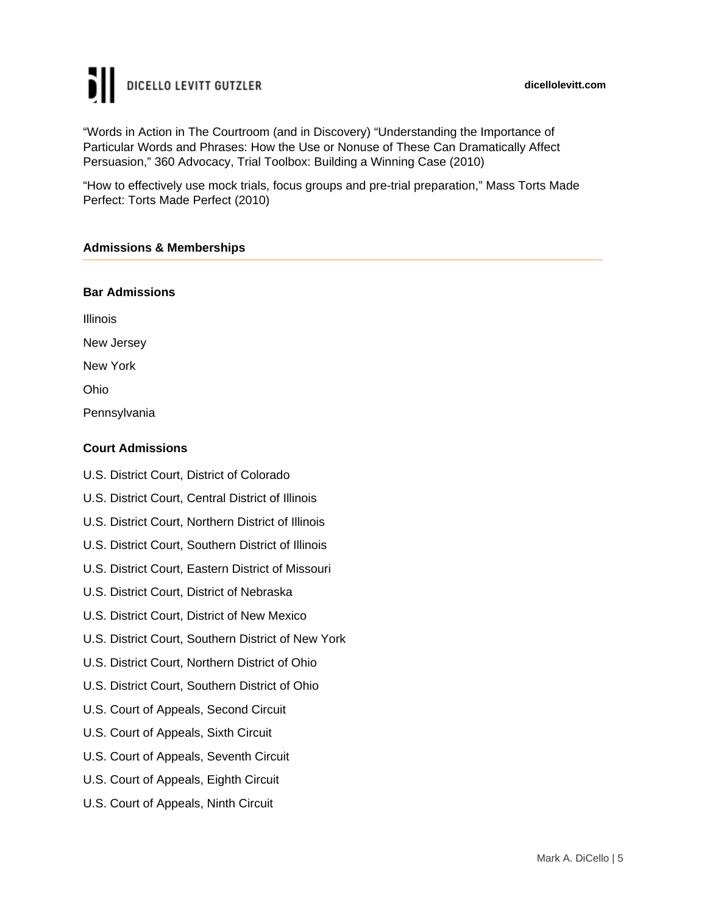# DICELLO LEVITT GUTZLER

"Words in Action in The Courtroom (and in Discovery) "Understanding the Importance of Particular Words and Phrases: How the Use or Nonuse of These Can Dramatically Affect Persuasion," 360 Advocacy, Trial Toolbox: Building a Winning Case (2010)

"How to effectively use mock trials, focus groups and pre-trial preparation," Mass Torts Made Perfect: Torts Made Perfect (2010)

#### **Admissions & Memberships**

#### **Bar Admissions**

Illinois New Jersey New York Ohio Pennsylvania

#### **Court Admissions**

- U.S. District Court, District of Colorado
- U.S. District Court, Central District of Illinois
- U.S. District Court, Northern District of Illinois
- U.S. District Court, Southern District of Illinois
- U.S. District Court, Eastern District of Missouri
- U.S. District Court, District of Nebraska
- U.S. District Court, District of New Mexico
- U.S. District Court, Southern District of New York
- U.S. District Court, Northern District of Ohio
- U.S. District Court, Southern District of Ohio
- U.S. Court of Appeals, Second Circuit
- U.S. Court of Appeals, Sixth Circuit
- U.S. Court of Appeals, Seventh Circuit
- U.S. Court of Appeals, Eighth Circuit
- U.S. Court of Appeals, Ninth Circuit